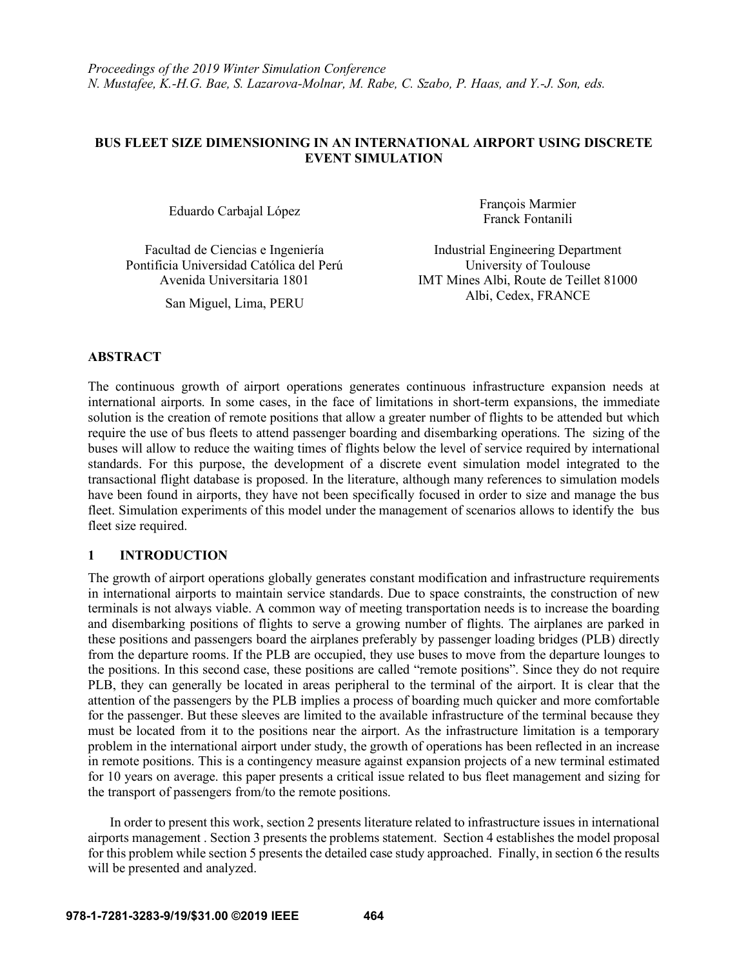# **BUS FLEET SIZE DIMENSIONING IN AN INTERNATIONAL AIRPORT USING DISCRETE EVENT SIMULATION**

Pontificia Universidad Católica del Perú University of Toulouse

Eduardo Carbajal López François Marmier Franck Fontanili

Facultad de Ciencias e Ingeniería **Industrial Engineering Department** Avenida Universitaria 1801 IMT Mines Albi, Route de Teillet 81000 San Miguel, Lima, PERU Albi, Cedex, FRANCE

# **ABSTRACT**

The continuous growth of airport operations generates continuous infrastructure expansion needs at international airports. In some cases, in the face of limitations in short-term expansions, the immediate solution is the creation of remote positions that allow a greater number of flights to be attended but which require the use of bus fleets to attend passenger boarding and disembarking operations. The sizing of the buses will allow to reduce the waiting times of flights below the level of service required by international standards. For this purpose, the development of a discrete event simulation model integrated to the transactional flight database is proposed. In the literature, although many references to simulation models have been found in airports, they have not been specifically focused in order to size and manage the bus fleet. Simulation experiments of this model under the management of scenarios allows to identify the bus fleet size required.

# **1 INTRODUCTION**

The growth of airport operations globally generates constant modification and infrastructure requirements in international airports to maintain service standards. Due to space constraints, the construction of new terminals is not always viable. A common way of meeting transportation needs is to increase the boarding and disembarking positions of flights to serve a growing number of flights. The airplanes are parked in these positions and passengers board the airplanes preferably by passenger loading bridges (PLB) directly from the departure rooms. If the PLB are occupied, they use buses to move from the departure lounges to the positions. In this second case, these positions are called "remote positions". Since they do not require PLB, they can generally be located in areas peripheral to the terminal of the airport. It is clear that the attention of the passengers by the PLB implies a process of boarding much quicker and more comfortable for the passenger. But these sleeves are limited to the available infrastructure of the terminal because they must be located from it to the positions near the airport. As the infrastructure limitation is a temporary problem in the international airport under study, the growth of operations has been reflected in an increase in remote positions. This is a contingency measure against expansion projects of a new terminal estimated for 10 years on average. this paper presents a critical issue related to bus fleet management and sizing for the transport of passengers from/to the remote positions.

In order to present this work, section 2 presents literature related to infrastructure issues in international airports management . Section 3 presents the problems statement. Section 4 establishes the model proposal for this problem while section 5 presents the detailed case study approached. Finally, in section 6 the results will be presented and analyzed.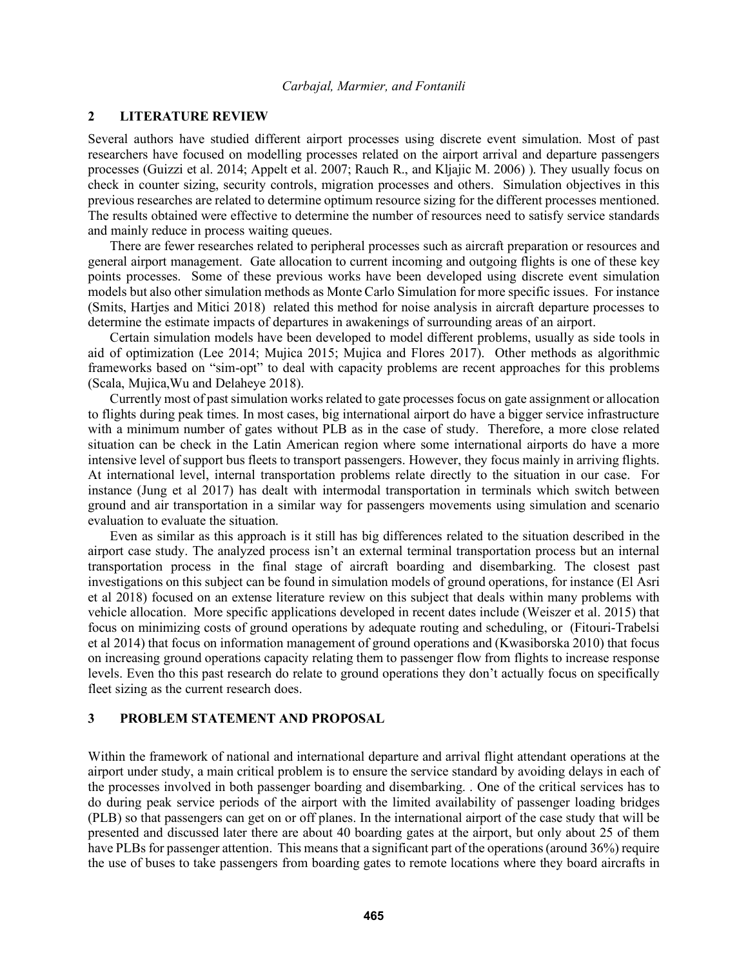## **2 LITERATURE REVIEW**

Several authors have studied different airport processes using discrete event simulation. Most of past researchers have focused on modelling processes related on the airport arrival and departure passengers processes (Guizzi et al. 2014; Appelt et al. 2007; Rauch R., and Kljajic M. 2006) ). They usually focus on check in counter sizing, security controls, migration processes and others. Simulation objectives in this previous researches are related to determine optimum resource sizing for the different processes mentioned. The results obtained were effective to determine the number of resources need to satisfy service standards and mainly reduce in process waiting queues.

There are fewer researches related to peripheral processes such as aircraft preparation or resources and general airport management. Gate allocation to current incoming and outgoing flights is one of these key points processes. Some of these previous works have been developed using discrete event simulation models but also other simulation methods as Monte Carlo Simulation for more specific issues. For instance (Smits, Hartjes and Mitici 2018) related this method for noise analysis in aircraft departure processes to determine the estimate impacts of departures in awakenings of surrounding areas of an airport.

Certain simulation models have been developed to model different problems, usually as side tools in aid of optimization (Lee 2014; Mujica 2015; Mujica and Flores 2017). Other methods as algorithmic frameworks based on "sim-opt" to deal with capacity problems are recent approaches for this problems (Scala, Mujica,Wu and Delaheye 2018).

Currently most of past simulation works related to gate processes focus on gate assignment or allocation to flights during peak times. In most cases, big international airport do have a bigger service infrastructure with a minimum number of gates without PLB as in the case of study. Therefore, a more close related situation can be check in the Latin American region where some international airports do have a more intensive level of support bus fleets to transport passengers. However, they focus mainly in arriving flights. At international level, internal transportation problems relate directly to the situation in our case. For instance (Jung et al 2017) has dealt with intermodal transportation in terminals which switch between ground and air transportation in a similar way for passengers movements using simulation and scenario evaluation to evaluate the situation.

Even as similar as this approach is it still has big differences related to the situation described in the airport case study. The analyzed process isn't an external terminal transportation process but an internal transportation process in the final stage of aircraft boarding and disembarking. The closest past investigations on this subject can be found in simulation models of ground operations, for instance (El Asri et al 2018) focused on an extense literature review on this subject that deals within many problems with vehicle allocation. More specific applications developed in recent dates include (Weiszer et al. 2015) that focus on minimizing costs of ground operations by adequate routing and scheduling, or (Fitouri-Trabelsi et al 2014) that focus on information management of ground operations and (Kwasiborska 2010) that focus on increasing ground operations capacity relating them to passenger flow from flights to increase response levels. Even tho this past research do relate to ground operations they don't actually focus on specifically fleet sizing as the current research does.

### **3 PROBLEM STATEMENT AND PROPOSAL**

Within the framework of national and international departure and arrival flight attendant operations at the airport under study, a main critical problem is to ensure the service standard by avoiding delays in each of the processes involved in both passenger boarding and disembarking. . One of the critical services has to do during peak service periods of the airport with the limited availability of passenger loading bridges (PLB) so that passengers can get on or off planes. In the international airport of the case study that will be presented and discussed later there are about 40 boarding gates at the airport, but only about 25 of them have PLBs for passenger attention. This means that a significant part of the operations (around 36%) require the use of buses to take passengers from boarding gates to remote locations where they board aircrafts in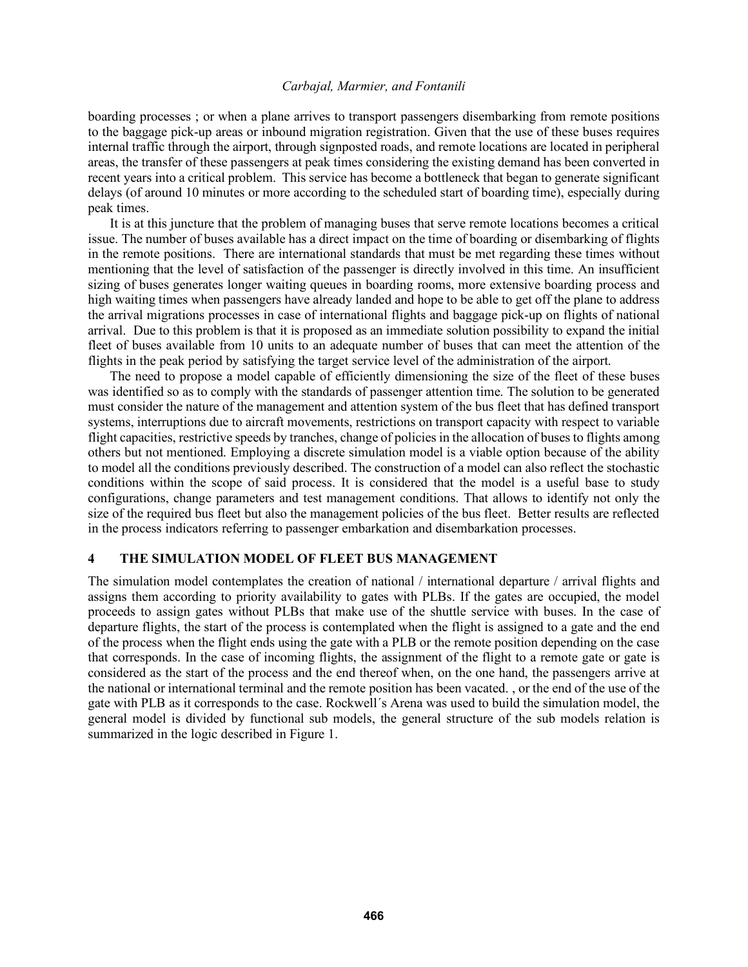boarding processes ; or when a plane arrives to transport passengers disembarking from remote positions to the baggage pick-up areas or inbound migration registration. Given that the use of these buses requires internal traffic through the airport, through signposted roads, and remote locations are located in peripheral areas, the transfer of these passengers at peak times considering the existing demand has been converted in recent years into a critical problem. This service has become a bottleneck that began to generate significant delays (of around 10 minutes or more according to the scheduled start of boarding time), especially during peak times.

It is at this juncture that the problem of managing buses that serve remote locations becomes a critical issue. The number of buses available has a direct impact on the time of boarding or disembarking of flights in the remote positions. There are international standards that must be met regarding these times without mentioning that the level of satisfaction of the passenger is directly involved in this time. An insufficient sizing of buses generates longer waiting queues in boarding rooms, more extensive boarding process and high waiting times when passengers have already landed and hope to be able to get off the plane to address the arrival migrations processes in case of international flights and baggage pick-up on flights of national arrival. Due to this problem is that it is proposed as an immediate solution possibility to expand the initial fleet of buses available from 10 units to an adequate number of buses that can meet the attention of the flights in the peak period by satisfying the target service level of the administration of the airport.

The need to propose a model capable of efficiently dimensioning the size of the fleet of these buses was identified so as to comply with the standards of passenger attention time. The solution to be generated must consider the nature of the management and attention system of the bus fleet that has defined transport systems, interruptions due to aircraft movements, restrictions on transport capacity with respect to variable flight capacities, restrictive speeds by tranches, change of policies in the allocation of buses to flights among others but not mentioned. Employing a discrete simulation model is a viable option because of the ability to model all the conditions previously described. The construction of a model can also reflect the stochastic conditions within the scope of said process. It is considered that the model is a useful base to study configurations, change parameters and test management conditions. That allows to identify not only the size of the required bus fleet but also the management policies of the bus fleet. Better results are reflected in the process indicators referring to passenger embarkation and disembarkation processes.

#### **4 THE SIMULATION MODEL OF FLEET BUS MANAGEMENT**

The simulation model contemplates the creation of national / international departure / arrival flights and assigns them according to priority availability to gates with PLBs. If the gates are occupied, the model proceeds to assign gates without PLBs that make use of the shuttle service with buses. In the case of departure flights, the start of the process is contemplated when the flight is assigned to a gate and the end of the process when the flight ends using the gate with a PLB or the remote position depending on the case that corresponds. In the case of incoming flights, the assignment of the flight to a remote gate or gate is considered as the start of the process and the end thereof when, on the one hand, the passengers arrive at the national or international terminal and the remote position has been vacated. , or the end of the use of the gate with PLB as it corresponds to the case. Rockwell´s Arena was used to build the simulation model, the general model is divided by functional sub models, the general structure of the sub models relation is summarized in the logic described in Figure 1.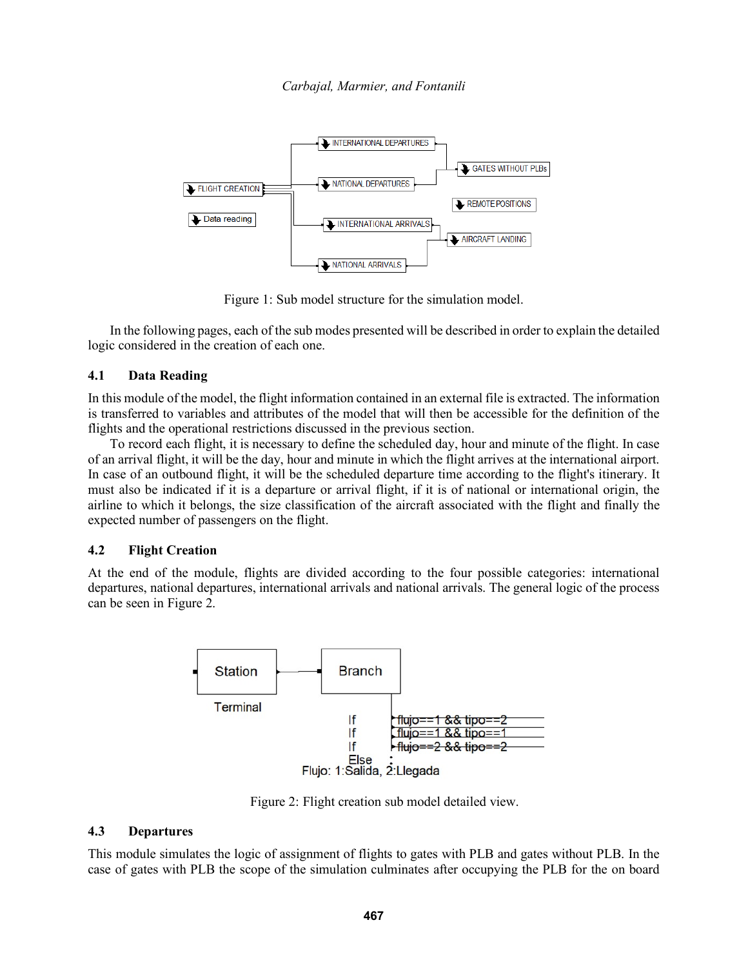

Figure 1: Sub model structure for the simulation model.

In the following pages, each of the sub modes presented will be described in order to explain the detailed logic considered in the creation of each one.

## **4.1 Data Reading**

In this module of the model, the flight information contained in an external file is extracted. The information is transferred to variables and attributes of the model that will then be accessible for the definition of the flights and the operational restrictions discussed in the previous section.

To record each flight, it is necessary to define the scheduled day, hour and minute of the flight. In case of an arrival flight, it will be the day, hour and minute in which the flight arrives at the international airport. In case of an outbound flight, it will be the scheduled departure time according to the flight's itinerary. It must also be indicated if it is a departure or arrival flight, if it is of national or international origin, the airline to which it belongs, the size classification of the aircraft associated with the flight and finally the expected number of passengers on the flight.

#### **4.2 Flight Creation**

At the end of the module, flights are divided according to the four possible categories: international departures, national departures, international arrivals and national arrivals. The general logic of the process can be seen in Figure 2.



Figure 2: Flight creation sub model detailed view.

#### **4.3 Departures**

This module simulates the logic of assignment of flights to gates with PLB and gates without PLB. In the case of gates with PLB the scope of the simulation culminates after occupying the PLB for the on board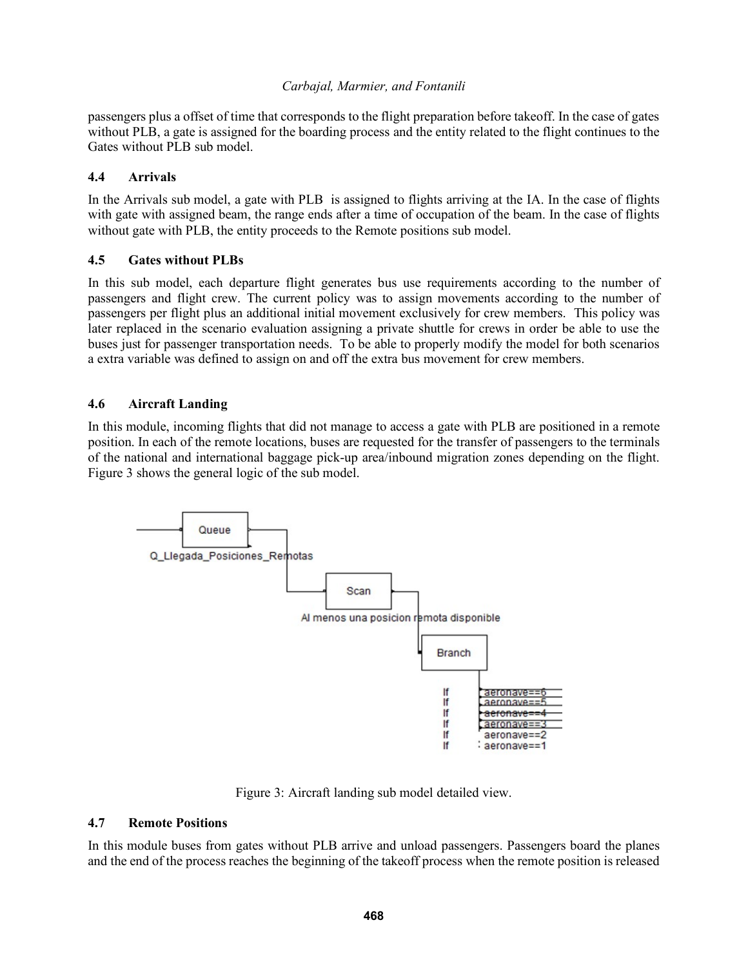passengers plus a offset of time that corresponds to the flight preparation before takeoff. In the case of gates without PLB, a gate is assigned for the boarding process and the entity related to the flight continues to the Gates without PLB sub model.

# **4.4 Arrivals**

In the Arrivals sub model, a gate with PLB is assigned to flights arriving at the IA. In the case of flights with gate with assigned beam, the range ends after a time of occupation of the beam. In the case of flights without gate with PLB, the entity proceeds to the Remote positions sub model.

# **4.5 Gates without PLBs**

In this sub model, each departure flight generates bus use requirements according to the number of passengers and flight crew. The current policy was to assign movements according to the number of passengers per flight plus an additional initial movement exclusively for crew members. This policy was later replaced in the scenario evaluation assigning a private shuttle for crews in order be able to use the buses just for passenger transportation needs. To be able to properly modify the model for both scenarios a extra variable was defined to assign on and off the extra bus movement for crew members.

# **4.6 Aircraft Landing**

In this module, incoming flights that did not manage to access a gate with PLB are positioned in a remote position. In each of the remote locations, buses are requested for the transfer of passengers to the terminals of the national and international baggage pick-up area/inbound migration zones depending on the flight. Figure 3 shows the general logic of the sub model.



Figure 3: Aircraft landing sub model detailed view.

# **4.7 Remote Positions**

In this module buses from gates without PLB arrive and unload passengers. Passengers board the planes and the end of the process reaches the beginning of the takeoff process when the remote position is released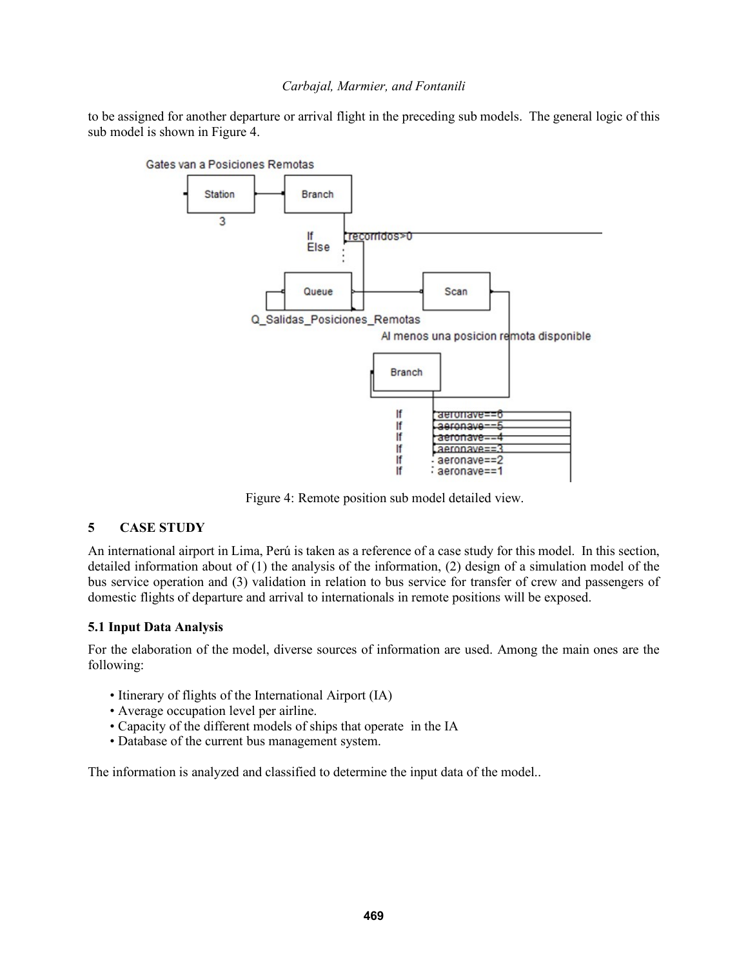to be assigned for another departure or arrival flight in the preceding sub models. The general logic of this sub model is shown in Figure 4.



Figure 4: Remote position sub model detailed view.

# **5 CASE STUDY**

An international airport in Lima, Perú is taken as a reference of a case study for this model. In this section, detailed information about of (1) the analysis of the information, (2) design of a simulation model of the bus service operation and (3) validation in relation to bus service for transfer of crew and passengers of domestic flights of departure and arrival to internationals in remote positions will be exposed.

# **5.1 Input Data Analysis**

For the elaboration of the model, diverse sources of information are used. Among the main ones are the following:

- Itinerary of flights of the International Airport (IA)
- Average occupation level per airline.
- Capacity of the different models of ships that operate in the IA
- Database of the current bus management system.

The information is analyzed and classified to determine the input data of the model..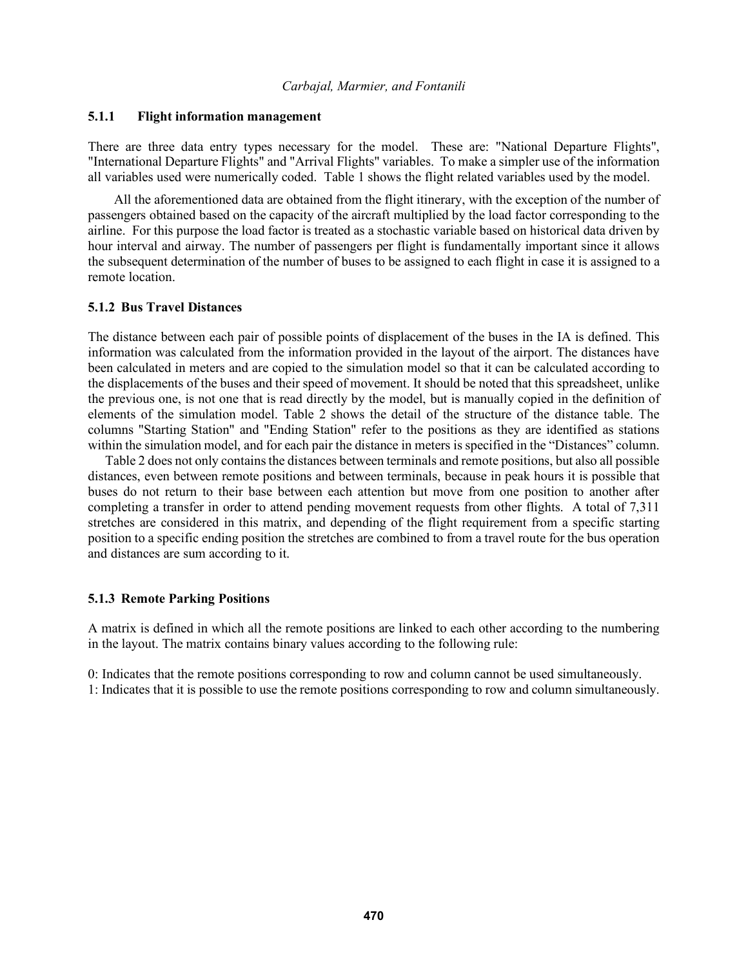### **5.1.1 Flight information management**

There are three data entry types necessary for the model. These are: "National Departure Flights", "International Departure Flights" and "Arrival Flights" variables. To make a simpler use of the information all variables used were numerically coded. Table 1 shows the flight related variables used by the model.

All the aforementioned data are obtained from the flight itinerary, with the exception of the number of passengers obtained based on the capacity of the aircraft multiplied by the load factor corresponding to the airline. For this purpose the load factor is treated as a stochastic variable based on historical data driven by hour interval and airway. The number of passengers per flight is fundamentally important since it allows the subsequent determination of the number of buses to be assigned to each flight in case it is assigned to a remote location.

#### **5.1.2 Bus Travel Distances**

The distance between each pair of possible points of displacement of the buses in the IA is defined. This information was calculated from the information provided in the layout of the airport. The distances have been calculated in meters and are copied to the simulation model so that it can be calculated according to the displacements of the buses and their speed of movement. It should be noted that this spreadsheet, unlike the previous one, is not one that is read directly by the model, but is manually copied in the definition of elements of the simulation model. Table 2 shows the detail of the structure of the distance table. The columns "Starting Station" and "Ending Station" refer to the positions as they are identified as stations within the simulation model, and for each pair the distance in meters is specified in the "Distances" column.

Table 2 does not only containsthe distances between terminals and remote positions, but also all possible distances, even between remote positions and between terminals, because in peak hours it is possible that buses do not return to their base between each attention but move from one position to another after completing a transfer in order to attend pending movement requests from other flights. A total of 7,311 stretches are considered in this matrix, and depending of the flight requirement from a specific starting position to a specific ending position the stretches are combined to from a travel route for the bus operation and distances are sum according to it.

### **5.1.3 Remote Parking Positions**

A matrix is defined in which all the remote positions are linked to each other according to the numbering in the layout. The matrix contains binary values according to the following rule:

0: Indicates that the remote positions corresponding to row and column cannot be used simultaneously. 1: Indicates that it is possible to use the remote positions corresponding to row and column simultaneously.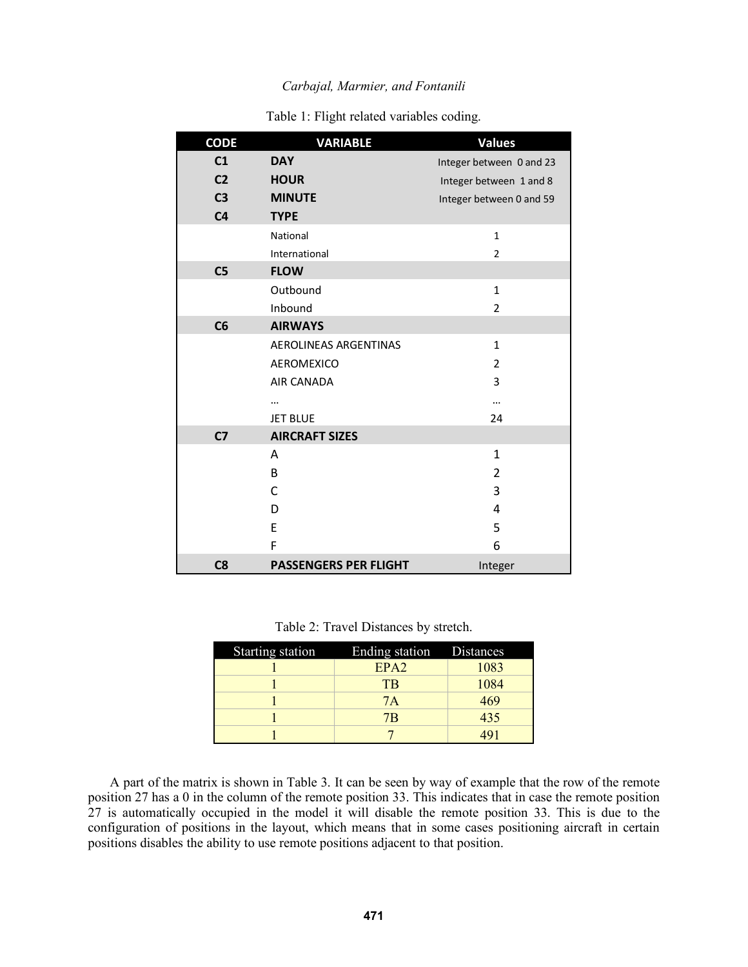| <b>CODE</b>    | <b>VARIABLE</b>              | <b>Values</b>            |
|----------------|------------------------------|--------------------------|
| C1             | <b>DAY</b>                   | Integer between 0 and 23 |
| C <sub>2</sub> | <b>HOUR</b>                  | Integer between 1 and 8  |
| C <sub>3</sub> | <b>MINUTE</b>                | Integer between 0 and 59 |
| C <sub>4</sub> | <b>TYPE</b>                  |                          |
|                | National                     | $\mathbf{1}$             |
|                | International                | $\overline{2}$           |
| C <sub>5</sub> | <b>FLOW</b>                  |                          |
|                | Outbound                     | $\mathbf{1}$             |
|                | Inbound                      | $\overline{2}$           |
| C6             | <b>AIRWAYS</b>               |                          |
|                | AEROLINEAS ARGENTINAS        | $\mathbf{1}$             |
|                | <b>AEROMEXICO</b>            | $\overline{2}$           |
|                | AIR CANADA                   | 3                        |
|                | $\ddotsc$                    |                          |
|                | <b>JET BLUE</b>              | 24                       |
| C <sub>7</sub> | <b>AIRCRAFT SIZES</b>        |                          |
|                | A                            | $\mathbf{1}$             |
|                | B                            | $\overline{2}$           |
|                | C                            | 3                        |
|                | D                            | 4                        |
|                | E                            | 5                        |
|                | F                            | 6                        |
| C8             | <b>PASSENGERS PER FLIGHT</b> | Integer                  |

Table 1: Flight related variables coding.

Table 2: Travel Distances by stretch.

| Starting station | Ending station Distances |      |
|------------------|--------------------------|------|
|                  | EPA2                     | 1083 |
|                  | <b>TB</b>                | 1084 |
|                  | 7A                       | 469  |
|                  | 7B                       | 435  |
|                  |                          |      |

A part of the matrix is shown in Table 3. It can be seen by way of example that the row of the remote position 27 has a 0 in the column of the remote position 33. This indicates that in case the remote position 27 is automatically occupied in the model it will disable the remote position 33. This is due to the configuration of positions in the layout, which means that in some cases positioning aircraft in certain positions disables the ability to use remote positions adjacent to that position.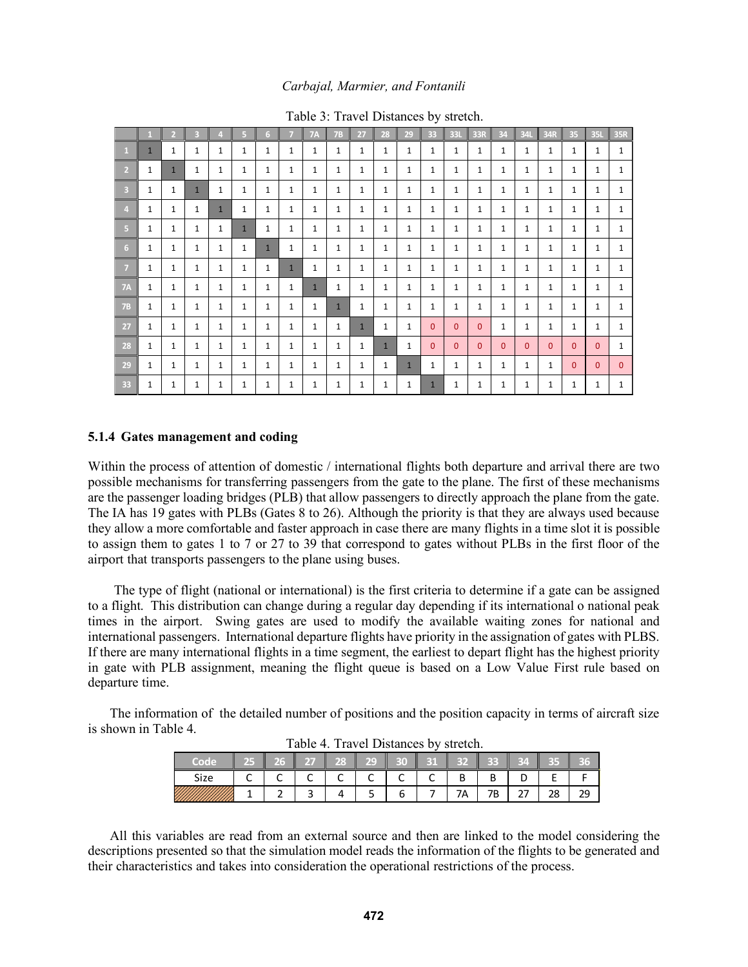|                         | п            | $\overline{2}$ | B            | $\overline{4}$ | 5            | 6            | 7            | <b>7A</b>    | <b>7B</b>    | 27           | 28           | 29           | 33           | 33L          | 33R          | 34           | 34L          | $\parallel$ 34R | 35           | <b>35L</b>   | 35R          |
|-------------------------|--------------|----------------|--------------|----------------|--------------|--------------|--------------|--------------|--------------|--------------|--------------|--------------|--------------|--------------|--------------|--------------|--------------|-----------------|--------------|--------------|--------------|
| $\mathbf{1}$            | $\mathbf{1}$ | 1              | 1            | 1              | $\mathbf{1}$ | 1            | 1            | 1            | $\mathbf{1}$ | 1            | 1            | $\mathbf{1}$ | 1            | 1            | 1            | 1            | $\mathbf{1}$ | $\mathbf{1}$    | $\mathbf{1}$ | $\mathbf{1}$ | $\mathbf{1}$ |
| $\overline{2}$          | 1            | $\mathbf{1}$   | $\mathbf{1}$ | 1              | 1            | 1            | 1            | 1            | 1            | 1            | 1            | 1            | 1            | 1            | 1            | 1            | 1            | 1               | 1            | 1            | $\mathbf{1}$ |
| $\overline{\mathbf{3}}$ | 1            | 1              | $\mathbf{1}$ | 1              | 1            | 1            | 1            | 1            | 1            | 1            | 1            | 1            | 1            | $\mathbf{1}$ | 1            | $\mathbf{1}$ | 1            | 1               | 1            | 1            | $\mathbf{1}$ |
| $\overline{4}$          | 1            | 1              | 1            | $\mathbf{1}$   | 1            | 1            | 1            | 1            | 1            | 1            | 1            | 1            | 1            | 1            | 1            | $\mathbf{1}$ | 1            | $\mathbf{1}$    | 1            | 1            | 1            |
| 5                       | $\mathbf{1}$ | 1              | $\mathbf{1}$ | 1              | $\mathbf{1}$ | 1            | 1            | 1            | 1            | 1            | 1            | 1            | 1            | $\mathbf{1}$ | 1            | $\mathbf{1}$ | 1            | 1               | $\mathbf{1}$ | 1            | $\mathbf{1}$ |
| 6                       | 1            | 1              | 1            | 1              | 1            | $\mathbf{1}$ | 1            | 1            | 1            | 1            | 1            | 1            | 1            | $\mathbf{1}$ | 1            | $\mathbf{1}$ | 1            | $\mathbf{1}$    | 1            | 1            | $\mathbf{1}$ |
| 7                       | 1            | 1              | 1            | 1              | 1            | 1            | $\mathbf{1}$ | 1            | 1            | 1            | 1            | 1            | 1            | $\mathbf{1}$ | 1            | $\mathbf{1}$ | 1            | 1               | 1            | 1            | 1            |
| <b>7A</b>               | $\mathbf{1}$ | 1              | 1            | 1              | 1            | 1            | 1            | $\mathbf{1}$ | $\mathbf{1}$ | 1            | 1            | 1            | 1            | 1            | 1            | $\mathbf{1}$ | 1            | $\mathbf{1}$    | 1            | 1            | $\mathbf{1}$ |
| <b>7B</b>               | 1            | 1              | 1            | 1              | 1            | 1            | 1            | 1            | $\mathbf{1}$ | 1            | 1            | 1            | 1            | $\mathbf{1}$ | 1            | 1            | 1            | $\mathbf{1}$    | $\mathbf{1}$ | 1            | 1            |
| 27                      | $\mathbf{1}$ | 1              | 1            | 1              | 1            | 1            | 1            | 1            | 1            | $\mathbf{1}$ | 1            | 1            | $\mathbf{0}$ | $\Omega$     | $\mathbf{0}$ | $\mathbf{1}$ | 1            | 1               | 1            | $\mathbf{1}$ | $\mathbf{1}$ |
| 28                      | $\mathbf{1}$ | 1              | 1            | 1              | 1            | $\mathbf{1}$ | 1            | 1            | 1            | 1            | $\mathbf{1}$ | 1            | 0            | $\Omega$     | $\Omega$     | $\Omega$     | $\Omega$     | 0               | $\Omega$     | $\Omega$     | 1            |
| 29                      | 1            | 1              | 1            | 1              | 1            | 1            | 1            | 1            | 1            | 1            | 1            | $\mathbf{1}$ | 1            | $\mathbf{1}$ | $\mathbf{1}$ | $\mathbf{1}$ | 1            | 1               | $\mathbf{0}$ | $\mathbf{0}$ | $\mathbf{0}$ |
| 33                      | 1            | 1              | 1            | 1              | 1            | 1            | 1            | 1            | 1            | 1            | 1            | 1            | $\mathbf{1}$ | 1            | 1            | $\mathbf{1}$ | 1            | $\mathbf{1}$    | 1            | $\mathbf{1}$ | 1            |

Table 3: Travel Distances by stretch.

#### **5.1.4 Gates management and coding**

Within the process of attention of domestic / international flights both departure and arrival there are two possible mechanisms for transferring passengers from the gate to the plane. The first of these mechanisms are the passenger loading bridges (PLB) that allow passengers to directly approach the plane from the gate. The IA has 19 gates with PLBs (Gates 8 to 26). Although the priority is that they are always used because they allow a more comfortable and faster approach in case there are many flights in a time slot it is possible to assign them to gates 1 to 7 or 27 to 39 that correspond to gates without PLBs in the first floor of the airport that transports passengers to the plane using buses.

The type of flight (national or international) is the first criteria to determine if a gate can be assigned to a flight. This distribution can change during a regular day depending if its international o national peak times in the airport. Swing gates are used to modify the available waiting zones for national and international passengers. International departure flights have priority in the assignation of gates with PLBS. If there are many international flights in a time segment, the earliest to depart flight has the highest priority in gate with PLB assignment, meaning the flight queue is based on a Low Value First rule based on departure time.

The information of the detailed number of positions and the position capacity in terms of aircraft size is shown in Table 4.

| $\cdots$<br>$110.721$ DIUGHT 0<br>5.1.0.011 |     |  |    |    |   |   |   |    |    |        |      |    |
|---------------------------------------------|-----|--|----|----|---|---|---|----|----|--------|------|----|
| Code                                        | - 5 |  | a. | 상문 | Щ |   | м | 3m | ь  | и<br>ı | . to |    |
| Size                                        |     |  |    | ∽  |   | ∽ |   | ັ  |    |        | -    |    |
|                                             |     |  |    |    |   | n |   | 7Α | 7Β |        | 28   | 29 |

Table 4. Travel Distances by stretch.

All this variables are read from an external source and then are linked to the model considering the descriptions presented so that the simulation model reads the information of the flights to be generated and their characteristics and takes into consideration the operational restrictions of the process.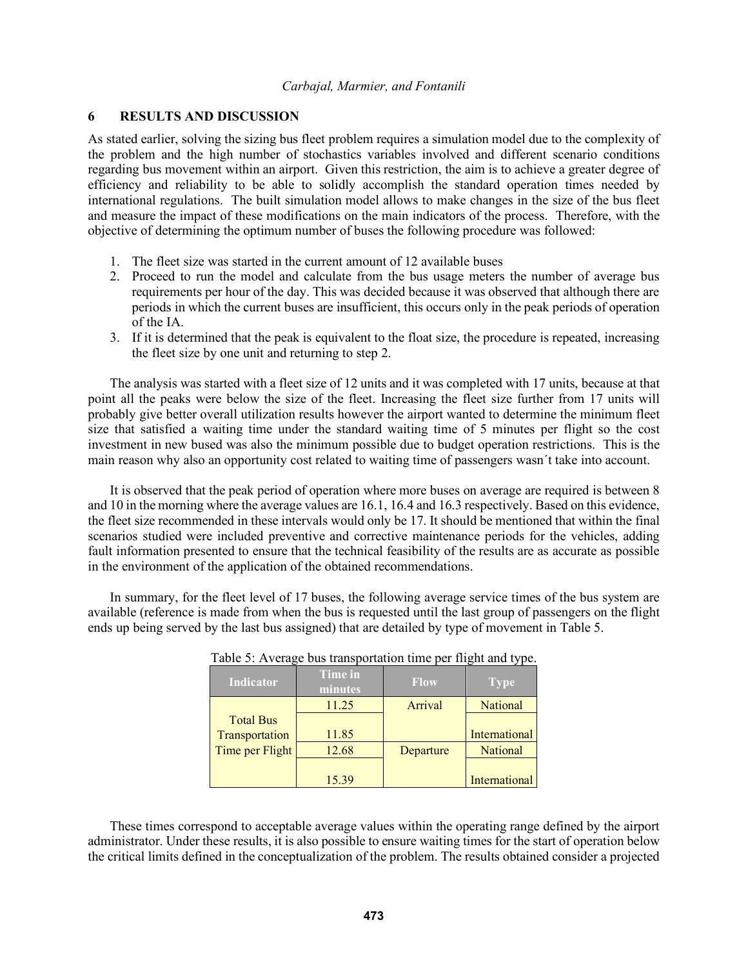## **6 RESULTS AND DISCUSSION**

As stated earlier, solving the sizing bus fleet problem requires a simulation model due to the complexity of the problem and the high number of stochastics variables involved and different scenario conditions regarding bus movement within an airport. Given this restriction, the aim is to achieve a greater degree of efficiency and reliability to be able to solidly accomplish the standard operation times needed by international regulations. The built simulation model allows to make changes in the size of the bus fleet and measure the impact of these modifications on the main indicators of the process. Therefore, with the objective of determining the optimum number of buses the following procedure was followed:

- 1. The fleet size was started in the current amount of 12 available buses
- 2. Proceed to run the model and calculate from the bus usage meters the number of average bus requirements per hour of the day. This was decided because it was observed that although there are periods in which the current buses are insufficient, this occurs only in the peak periods of operation of the IA.
- 3. If it is determined that the peak is equivalent to the float size, the procedure is repeated, increasing the fleet size by one unit and returning to step 2.

The analysis was started with a fleet size of 12 units and it was completed with 17 units, because at that point all the peaks were below the size of the fleet. Increasing the fleet size further from 17 units will probably give better overall utilization results however the airport wanted to determine the minimum fleet size that satisfied a waiting time under the standard waiting time of 5 minutes per flight so the cost investment in new bused was also the minimum possible due to budget operation restrictions. This is the main reason why also an opportunity cost related to waiting time of passengers wasn´t take into account.

It is observed that the peak period of operation where more buses on average are required is between 8 and 10 in the morning where the average values are 16.1, 16.4 and 16.3 respectively. Based on this evidence, the fleet size recommended in these intervals would only be 17. It should be mentioned that within the final scenarios studied were included preventive and corrective maintenance periods for the vehicles, adding fault information presented to ensure that the technical feasibility of the results are as accurate as possible in the environment of the application of the obtained recommendations.

In summary, for the fleet level of 17 buses, the following average service times of the bus system are available (reference is made from when the bus is requested until the last group of passengers on the flight ends up being served by the last bus assigned) that are detailed by type of movement in Table 5.

|                  |                           | ~~~         |                 |
|------------------|---------------------------|-------------|-----------------|
| Indicator        | <b>Time in</b><br>minutes | <b>Flow</b> | <b>Type</b>     |
|                  | 11.25                     | Arrival     | <b>National</b> |
| <b>Total Bus</b> |                           |             |                 |
| Transportation   | 11.85                     |             | International   |
| Time per Flight  | 12.68                     | Departure   | <b>National</b> |
|                  |                           |             |                 |
|                  | 15.39                     |             | International   |

| Table 5: Average bus transportation time per flight and type. |  |  |
|---------------------------------------------------------------|--|--|
|---------------------------------------------------------------|--|--|

These times correspond to acceptable average values within the operating range defined by the airport administrator. Under these results, it is also possible to ensure waiting times for the start of operation below the critical limits defined in the conceptualization of the problem. The results obtained consider a projected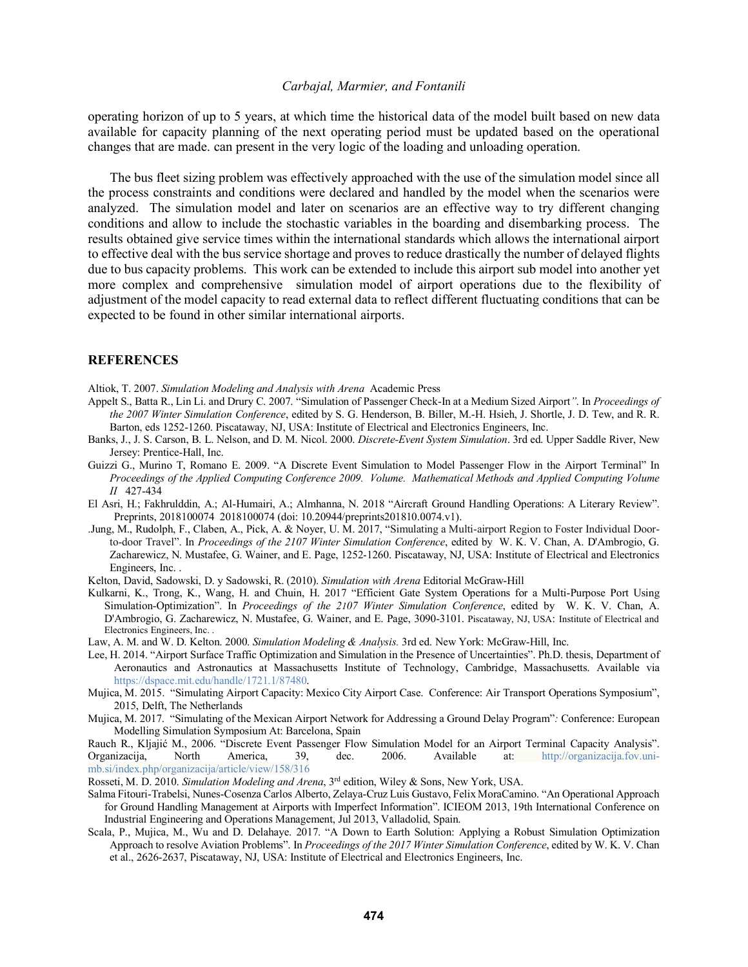operating horizon of up to 5 years, at which time the historical data of the model built based on new data available for capacity planning of the next operating period must be updated based on the operational changes that are made. can present in the very logic of the loading and unloading operation.

The bus fleet sizing problem was effectively approached with the use of the simulation model since all the process constraints and conditions were declared and handled by the model when the scenarios were analyzed. The simulation model and later on scenarios are an effective way to try different changing conditions and allow to include the stochastic variables in the boarding and disembarking process. The results obtained give service times within the international standards which allows the international airport to effective deal with the bus service shortage and proves to reduce drastically the number of delayed flights due to bus capacity problems. This work can be extended to include this airport sub model into another yet more complex and comprehensive simulation model of airport operations due to the flexibility of adjustment of the model capacity to read external data to reflect different fluctuating conditions that can be expected to be found in other similar international airports.

#### **REFERENCES**

Altiok, T. 2007. *Simulation Modeling and Analysis with Arena* Academic Press

- Appelt S., Batta R., Lin Li. and Drury C. 2007. "Simulation of Passenger Check-In at a Medium Sized Airport*"*. In *Proceedings of the 2007 Winter Simulation Conference*, edited by S. G. Henderson, B. Biller, M.-H. Hsieh, J. Shortle, J. D. Tew, and R. R. Barton, eds 1252-1260. Piscataway, NJ, USA: Institute of Electrical and Electronics Engineers, Inc.
- Banks, J., J. S. Carson, B. L. Nelson, and D. M. Nicol. 2000. *Discrete-Event System Simulation*. 3rd ed. Upper Saddle River, New Jersey: Prentice-Hall, Inc.
- Guizzi G., Murino T, Romano E. 2009. "A Discrete Event Simulation to Model Passenger Flow in the Airport Terminal" In *Proceedings of the Applied Computing Conference 2009. Volume. Mathematical Methods and Applied Computing Volume II* 427-434
- El Asri, H.; Fakhrulddin, A.; Al-Humairi, A.; Almhanna, N. 2018 "Aircraft Ground Handling Operations: A Literary Review". Preprints, 2018100074 2018100074 (doi: 10.20944/preprints201810.0074.v1).
- .Jung, M., Rudolph, F., Claben, A., Pick, A. & Noyer, U. M. 2017, "Simulating a Multi-airport Region to Foster Individual Doorto-door Travel". In *Proceedings of the 2107 Winter Simulation Conference*, edited by W. K. V. Chan, A. D'Ambrogio, G. Zacharewicz, N. Mustafee, G. Wainer, and E. Page, 1252-1260. Piscataway, NJ, USA: Institute of Electrical and Electronics Engineers, Inc. .
- Kelton, David, Sadowski, D. y Sadowski, R. (2010). *Simulation with Arena* Editorial McGraw-Hill
- Kulkarni, K., Trong, K., Wang, H. and Chuin, H. 2017 "Efficient Gate System Operations for a Multi-Purpose Port Using Simulation-Optimization". In *Proceedings of the 2107 Winter Simulation Conference*, edited by W. K. V. Chan, A. D'Ambrogio, G. Zacharewicz, N. Mustafee, G. Wainer, and E. Page, 3090-3101. Piscataway, NJ, USA: Institute of Electrical and Electronics Engineers, Inc. .
- Law, A. M. and W. D. Kelton. 2000. *Simulation Modeling & Analysis.* 3rd ed. New York: McGraw-Hill, Inc.
- Lee, H. 2014. "Airport Surface Traffic Optimization and Simulation in the Presence of Uncertainties". Ph.D. thesis, Department of Aeronautics and Astronautics at Massachusetts Institute of Technology, Cambridge, Massachusetts. Available via https://dspace.mit.edu/handle/1721.1/87480.
- Mujica, M. 2015. "Simulating Airport Capacity: Mexico City Airport Case. Conference: Air Transport Operations Symposium", 2015, Delft, The Netherlands
- Mujica, M. 2017. "Simulating of the Mexican Airport Network for Addressing a Ground Delay Program"*:* Conference: European Modelling Simulation Symposium At: Barcelona, Spain

Rauch R., Kljajić M., 2006. "Discrete Event Passenger Flow Simulation Model for an Airport Terminal Capacity Analysis". Organizacija, North America, 39, dec. 2006. Available at: http://organizacija.fov.unimb.si/index.php/organizacija/article/view/158/316

Rosseti, M. D. 2010. *Simulation Modeling and Arena*, 3rd edition, Wiley & Sons, New York, USA.

- Salma Fitouri-Trabelsi, Nunes-Cosenza Carlos Alberto, Zelaya-Cruz Luis Gustavo, Felix MoraCamino. "An Operational Approach for Ground Handling Management at Airports with Imperfect Information". ICIEOM 2013, 19th International Conference on Industrial Engineering and Operations Management, Jul 2013, Valladolid, Spain.
- Scala, P., Mujica, M., Wu and D. Delahaye. 2017. "A Down to Earth Solution: Applying a Robust Simulation Optimization Approach to resolve Aviation Problems". In *Proceedings of the 2017 Winter Simulation Conference*, edited by W. K. V. Chan et al., 2626-2637, Piscataway, NJ, USA: Institute of Electrical and Electronics Engineers, Inc.